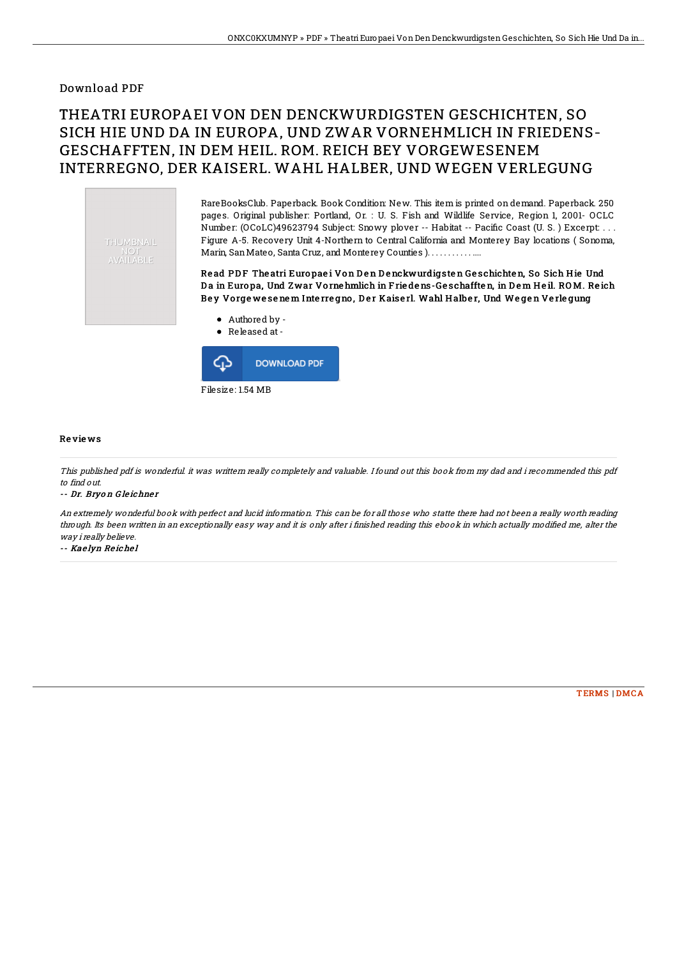## Download PDF

# THEATRI EUROPAEI VON DEN DENCKWURDIGSTEN GESCHICHTEN, SO SICH HIE UND DA IN EUROPA, UND ZWAR VORNEHMLICH IN FRIEDENS-GESCHAFFTEN, IN DEM HEIL. ROM. REICH BEY VORGEWESENEM INTERREGNO, DER KAISERL. WAHL HALBER, UND WEGEN VERLEGUNG

THUMBNAIL NOT<br>AVAILABLE

RareBooksClub. Paperback. Book Condition: New. This item is printed on demand. Paperback. 250 pages. Original publisher: Portland, Or. : U. S. Fish and Wildlife Service, Region 1, 2001- OCLC Number: (OCoLC)49623794 Subject: Snowy plover -- Habitat -- Pacific Coast (U. S.) Excerpt: . . . Figure A-5. Recovery Unit 4-Northern to Central California and Monterey Bay locations ( Sonoma, Marin, San Mateo, Santa Cruz, and Monterey Counties ). . . . . . . . . . . . . .

Read PDF The atri Europae i Von Den Denckwurdigsten Geschichten, So Sich Hie Und Da in Europa, Und Zwar Vorne hmlich in Frie dens-Geschafften, in Dem Heil. ROM. Reich Bey Vorgewesenem Interregno, Der Kaiserl. Wahl Halber, Und Wegen Verlegung

Authored by - Released at-ረ5 **DOWNLOAD PDF** 

Filesize: 1.54 MB

### Re vie ws

This published pdf is wonderful. it was writtern really completely and valuable. I found out this book from my dad and i recommended this pdf to find out.

#### -- Dr. Bryo <sup>n</sup> G le ichne <sup>r</sup>

An extremely wonderful book with perfect and lucid information. This can be for all those who statte there had not been <sup>a</sup> really worth reading through. Its been written in an exceptionally easy way and it is only after i finished reading this ebook in which actually modified me, alter the way i really believe.

-- Kae lyn Re iche l